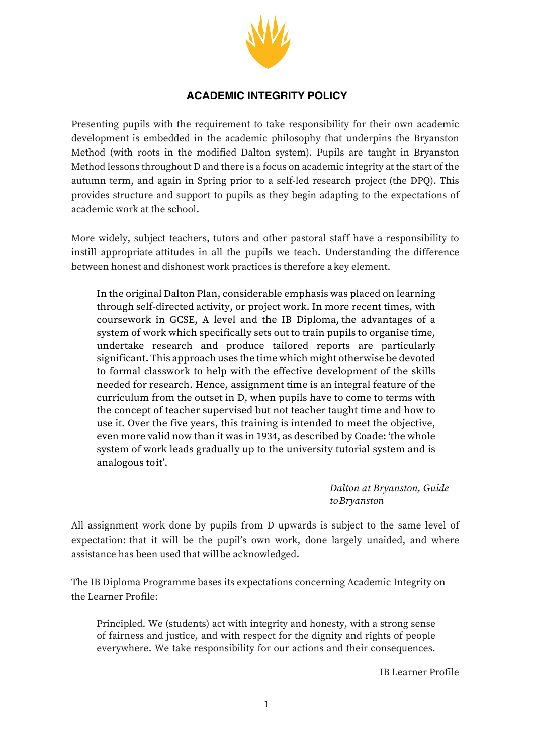

## **ACADEMIC INTEGRITY POLICY**

Presenting pupils with the requirement to take responsibility for their own academic development is embedded in the academic philosophy that underpins the Bryanston Method (with roots in the modified Dalton system). Pupils are taught in Bryanston Method lessons throughout D and there is a focus on academic integrity at the start of the autumn term, and again in Spring prior to a self-led research project (the DPQ). This provides structure and support to pupils as they begin adapting to the expectations of academic work at the school.

More widely, subject teachers, tutors and other pastoral staff have a responsibility to instill appropriate attitudes in all the pupils we teach. Understanding the difference between honest and dishonest work practices is therefore a key element.

In the original Dalton Plan, considerable emphasis was placed on learning through self-directed activity, or project work. In more recent times, with coursework in GCSE, A level and the IB Diploma, the advantages of a system of work which specifically sets out to train pupils to organise time, undertake research and produce tailored reports are particularly significant. This approach uses the time which might otherwise be devoted to formal classwork to help with the effective development of the skills needed for research. Hence, assignment time is an integral feature of the curriculum from the outset in D, when pupils have to come to terms with the concept of teacher supervised but not teacher taught time and how to use it. Over the five years, this training is intended to meet the objective, even more valid now than it was in 1934, as described by Coade: 'the whole system of work leads gradually up to the university tutorial system and is analogous toit'.

> *Dalton at Bryanston, Guide toBryanston*

All assignment work done by pupils from D upwards is subject to the same level of expectation: that it will be the pupil's own work, done largely unaided, and where assistance has been used that will be acknowledged.

The IB Diploma Programme bases its expectations concerning Academic Integrity on the Learner Profile:

Principled. We (students) act with integrity and honesty, with a strong sense of fairness and justice, and with respect for the dignity and rights of people everywhere. We take responsibility for our actions and their consequences.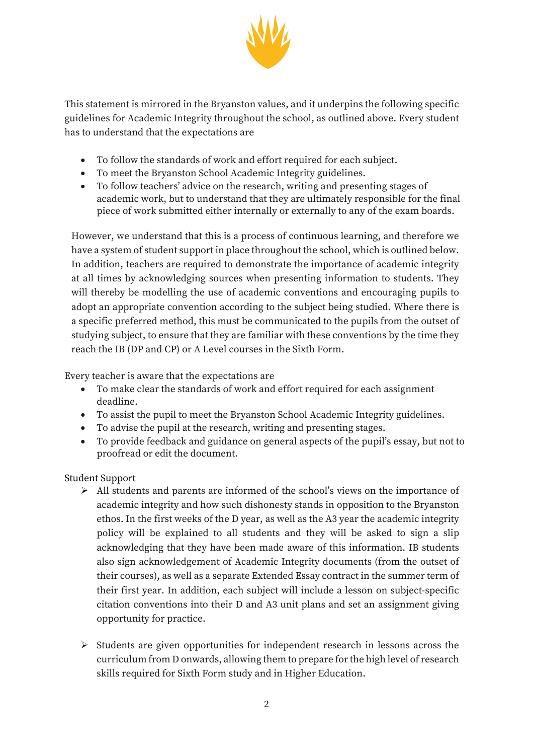

This statement is mirrored in the Bryanston values, and it underpins the following specific guidelines for Academic Integrity throughout the school, as outlined above. Every student has to understand that the expectations are

- To follow the standards of work and effort required for each subject.
- To meet the Bryanston School Academic Integrity guidelines.
- To follow teachers' advice on the research, writing and presenting stages of academic work, but to understand that they are ultimately responsible for the final piece of work submitted either internally or externally to any of the exam boards.

However, we understand that this is a process of continuous learning, and therefore we have a system of student support in place throughout the school, which is outlined below. In addition, teachers are required to demonstrate the importance of academic integrity at all times by acknowledging sources when presenting information to students. They will thereby be modelling the use of academic conventions and encouraging pupils to adopt an appropriate convention according to the subject being studied. Where there is a specific preferred method, this must be communicated to the pupils from the outset of studying subject, to ensure that they are familiar with these conventions by the time they reach the IB (DP and CP) or A Level courses in the Sixth Form.

Every teacher is aware that the expectations are

- To make clear the standards of work and effort required for each assignment deadline.
- To assist the pupil to meet the Bryanston School Academic Integrity guidelines.
- To advise the pupil at the research, writing and presenting stages.
- To provide feedback and guidance on general aspects of the pupil's essay, but not to proofread or edit the document.

## Student Support

- $\triangleright$  All students and parents are informed of the school's views on the importance of academic integrity and how such dishonesty stands in opposition to the Bryanston ethos. In the first weeks of the D year, as well as the A3 year the academic integrity policy will be explained to all students and they will be asked to sign a slip acknowledging that they have been made aware of this information. IB students also sign acknowledgement of Academic Integrity documents (from the outset of their courses), as well as a separate Extended Essay contract in the summer term of their first year. In addition, each subject will include a lesson on subject-specific citation conventions into their D and A3 unit plans and set an assignment giving opportunity for practice.
- $\triangleright$  Students are given opportunities for independent research in lessons across the curriculum from D onwards, allowing them to prepare for the high level of research skills required for Sixth Form study and in Higher Education.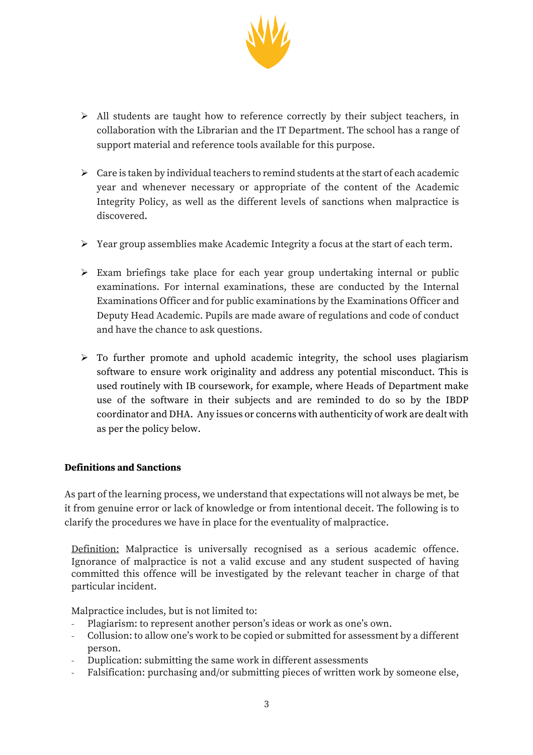

- $\triangleright$  All students are taught how to reference correctly by their subject teachers, in collaboration with the Librarian and the IT Department. The school has a range of support material and reference tools available for this purpose.
- $\triangleright$  Care is taken by individual teachers to remind students at the start of each academic year and whenever necessary or appropriate of the content of the Academic Integrity Policy, as well as the different levels of sanctions when malpractice is discovered.
- $\triangleright$  Year group assemblies make Academic Integrity a focus at the start of each term.
- $\triangleright$  Exam briefings take place for each year group undertaking internal or public examinations. For internal examinations, these are conducted by the Internal Examinations Officer and for public examinations by the Examinations Officer and Deputy Head Academic. Pupils are made aware of regulations and code of conduct and have the chance to ask questions.
- $\triangleright$  To further promote and uphold academic integrity, the school uses plagiarism software to ensure work originality and address any potential misconduct. This is used routinely with IB coursework, for example, where Heads of Department make use of the software in their subjects and are reminded to do so by the IBDP coordinator and DHA. Any issues or concerns with authenticity of work are dealt with as per the policy below.

## **Definitions and Sanctions**

As part of the learning process, we understand that expectations will not always be met, be it from genuine error or lack of knowledge or from intentional deceit. The following is to clarify the procedures we have in place for the eventuality of malpractice.

Definition: Malpractice is universally recognised as a serious academic offence. Ignorance of malpractice is not a valid excuse and any student suspected of having committed this offence will be investigated by the relevant teacher in charge of that particular incident.

Malpractice includes, but is not limited to:

- Plagiarism: to represent another person's ideas or work as one's own.
- Collusion: to allow one's work to be copied or submitted for assessment by a different person.
- Duplication: submitting the same work in different assessments
- Falsification: purchasing and/or submitting pieces of written work by someone else,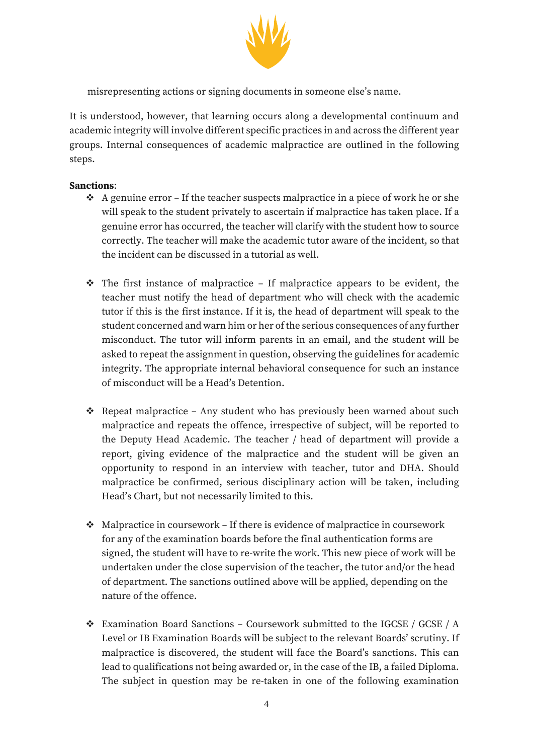

misrepresenting actions or signing documents in someone else's name.

It is understood, however, that learning occurs along a developmental continuum and academic integrity will involve different specific practices in and across the different year groups. Internal consequences of academic malpractice are outlined in the following steps.

## **Sanctions**:

- $\div$  A genuine error If the teacher suspects malpractice in a piece of work he or she will speak to the student privately to ascertain if malpractice has taken place. If a genuine error has occurred, the teacher will clarify with the student how to source correctly. The teacher will make the academic tutor aware of the incident, so that the incident can be discussed in a tutorial as well.
- $\hat{\cdot}$  The first instance of malpractice If malpractice appears to be evident, the teacher must notify the head of department who will check with the academic tutor if this is the first instance. If it is, the head of department will speak to the student concerned and warn him or her of the serious consequences of any further misconduct. The tutor will inform parents in an email, and the student will be asked to repeat the assignment in question, observing the guidelines for academic integrity. The appropriate internal behavioral consequence for such an instance of misconduct will be a Head's Detention.
- $\triangleleft$  Repeat malpractice Any student who has previously been warned about such malpractice and repeats the offence, irrespective of subject, will be reported to the Deputy Head Academic. The teacher / head of department will provide a report, giving evidence of the malpractice and the student will be given an opportunity to respond in an interview with teacher, tutor and DHA. Should malpractice be confirmed, serious disciplinary action will be taken, including Head's Chart, but not necessarily limited to this.
- $\triangleleft$  Malpractice in coursework If there is evidence of malpractice in coursework for any of the examination boards before the final authentication forms are signed, the student will have to re-write the work. This new piece of work will be undertaken under the close supervision of the teacher, the tutor and/or the head of department. The sanctions outlined above will be applied, depending on the nature of the offence.
- v Examination Board Sanctions Coursework submitted to the IGCSE / GCSE / A Level or IB Examination Boards will be subject to the relevant Boards' scrutiny. If malpractice is discovered, the student will face the Board's sanctions. This can lead to qualifications not being awarded or, in the case of the IB, a failed Diploma. The subject in question may be re-taken in one of the following examination